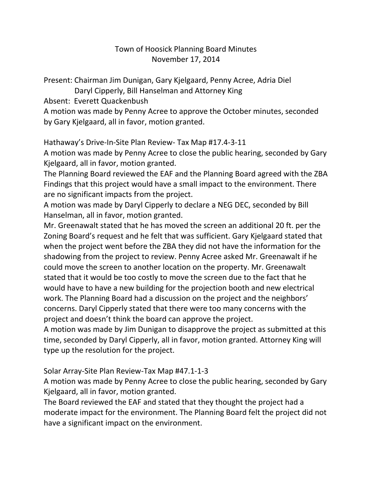## Town of Hoosick Planning Board Minutes November 17, 2014

Present: Chairman Jim Dunigan, Gary Kjelgaard, Penny Acree, Adria Diel

Daryl Cipperly, Bill Hanselman and Attorney King

Absent: Everett Quackenbush

A motion was made by Penny Acree to approve the October minutes, seconded by Gary Kjelgaard, all in favor, motion granted.

Hathaway's Drive-In-Site Plan Review- Tax Map #17.4-3-11

A motion was made by Penny Acree to close the public hearing, seconded by Gary Kjelgaard, all in favor, motion granted.

The Planning Board reviewed the EAF and the Planning Board agreed with the ZBA Findings that this project would have a small impact to the environment. There are no significant impacts from the project.

A motion was made by Daryl Cipperly to declare a NEG DEC, seconded by Bill Hanselman, all in favor, motion granted.

Mr. Greenawalt stated that he has moved the screen an additional 20 ft. per the Zoning Board's request and he felt that was sufficient. Gary Kjelgaard stated that when the project went before the ZBA they did not have the information for the shadowing from the project to review. Penny Acree asked Mr. Greenawalt if he could move the screen to another location on the property. Mr. Greenawalt stated that it would be too costly to move the screen due to the fact that he would have to have a new building for the projection booth and new electrical work. The Planning Board had a discussion on the project and the neighbors' concerns. Daryl Cipperly stated that there were too many concerns with the project and doesn't think the board can approve the project.

A motion was made by Jim Dunigan to disapprove the project as submitted at this time, seconded by Daryl Cipperly, all in favor, motion granted. Attorney King will type up the resolution for the project.

## Solar Array-Site Plan Review-Tax Map #47.1-1-3

A motion was made by Penny Acree to close the public hearing, seconded by Gary Kjelgaard, all in favor, motion granted.

The Board reviewed the EAF and stated that they thought the project had a moderate impact for the environment. The Planning Board felt the project did not have a significant impact on the environment.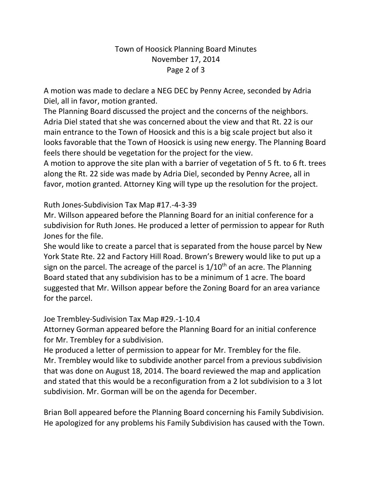## Town of Hoosick Planning Board Minutes November 17, 2014 Page 2 of 3

A motion was made to declare a NEG DEC by Penny Acree, seconded by Adria Diel, all in favor, motion granted.

The Planning Board discussed the project and the concerns of the neighbors. Adria Diel stated that she was concerned about the view and that Rt. 22 is our main entrance to the Town of Hoosick and this is a big scale project but also it looks favorable that the Town of Hoosick is using new energy. The Planning Board feels there should be vegetation for the project for the view.

A motion to approve the site plan with a barrier of vegetation of 5 ft. to 6 ft. trees along the Rt. 22 side was made by Adria Diel, seconded by Penny Acree, all in favor, motion granted. Attorney King will type up the resolution for the project.

Ruth Jones-Subdivision Tax Map #17.-4-3-39

Mr. Willson appeared before the Planning Board for an initial conference for a subdivision for Ruth Jones. He produced a letter of permission to appear for Ruth Jones for the file.

She would like to create a parcel that is separated from the house parcel by New York State Rte. 22 and Factory Hill Road. Brown's Brewery would like to put up a sign on the parcel. The acreage of the parcel is  $1/10<sup>th</sup>$  of an acre. The Planning Board stated that any subdivision has to be a minimum of 1 acre. The board suggested that Mr. Willson appear before the Zoning Board for an area variance for the parcel.

Joe Trembley-Sudivision Tax Map #29.-1-10.4

Attorney Gorman appeared before the Planning Board for an initial conference for Mr. Trembley for a subdivision.

He produced a letter of permission to appear for Mr. Trembley for the file. Mr. Trembley would like to subdivide another parcel from a previous subdivision that was done on August 18, 2014. The board reviewed the map and application and stated that this would be a reconfiguration from a 2 lot subdivision to a 3 lot subdivision. Mr. Gorman will be on the agenda for December.

Brian Boll appeared before the Planning Board concerning his Family Subdivision. He apologized for any problems his Family Subdivision has caused with the Town.